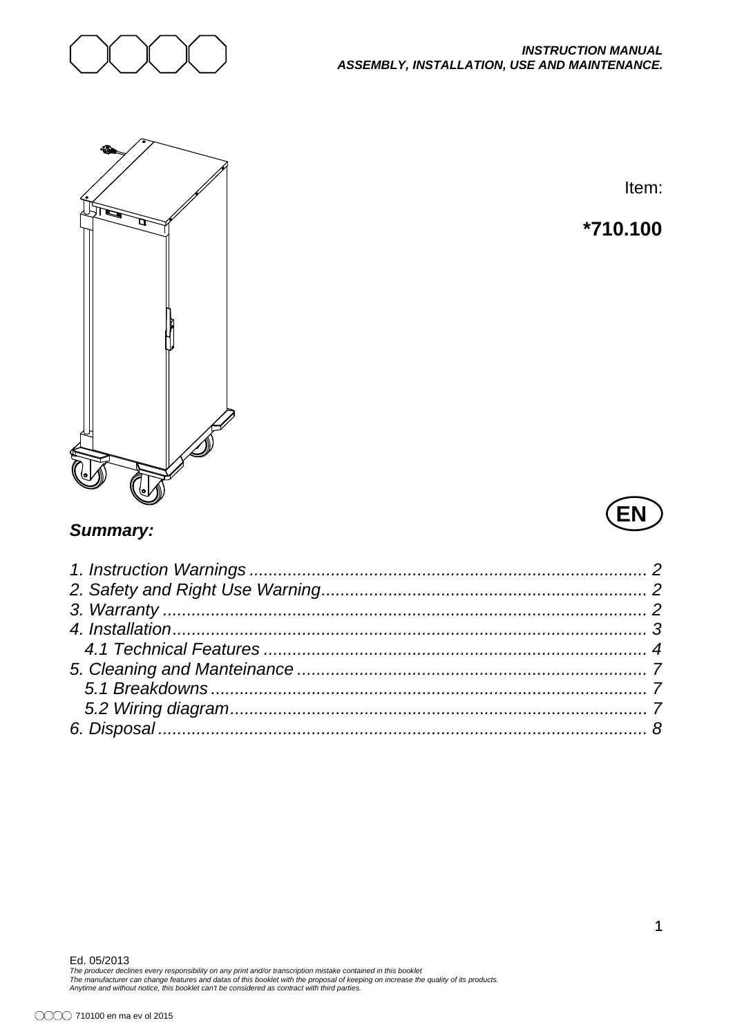



Item:

# **\*710.100**

# **EN**

## *Summary:*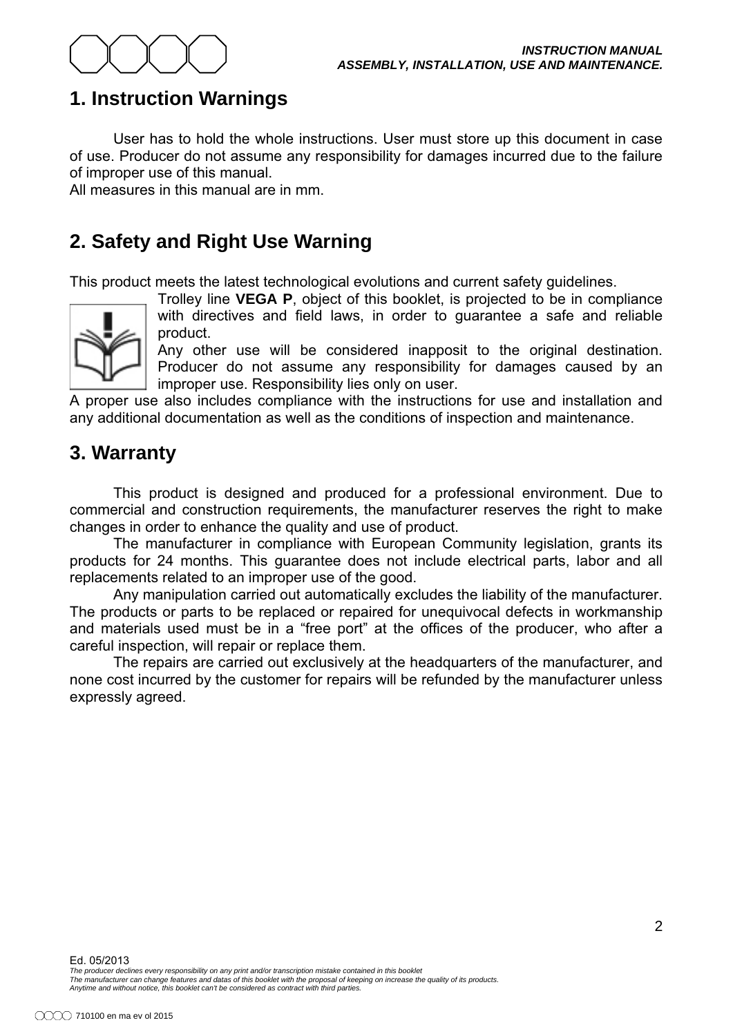

# **1. Instruction Warnings**

User has to hold the whole instructions. User must store up this document in case of use. Producer do not assume any responsibility for damages incurred due to the failure of improper use of this manual.

All measures in this manual are in mm

# **2. Safety and Right Use Warning**

This product meets the latest technological evolutions and current safety quidelines.



Trolley line **VEGA P**, object of this booklet, is projected to be in compliance with directives and field laws, in order to guarantee a safe and reliable product.

Any other use will be considered inapposit to the original destination. Producer do not assume any responsibility for damages caused by an improper use. Responsibility lies only on user.

A proper use also includes compliance with the instructions for use and installation and any additional documentation as well as the conditions of inspection and maintenance.

## **3. Warranty**

This product is designed and produced for a professional environment. Due to commercial and construction requirements, the manufacturer reserves the right to make changes in order to enhance the quality and use of product.

The manufacturer in compliance with European Community legislation, grants its products for 24 months. This quarantee does not include electrical parts, labor and all replacements related to an improper use of the good.

Any manipulation carried out automatically excludes the liability of the manufacturer. The products or parts to be replaced or repaired for unequivocal defects in workmanship and materials used must be in a "free port" at the offices of the producer, who after a careful inspection, will repair or replace them.

The repairs are carried out exclusively at the headquarters of the manufacturer, and none cost incurred by the customer for repairs will be refunded by the manufacturer unless expressly agreed.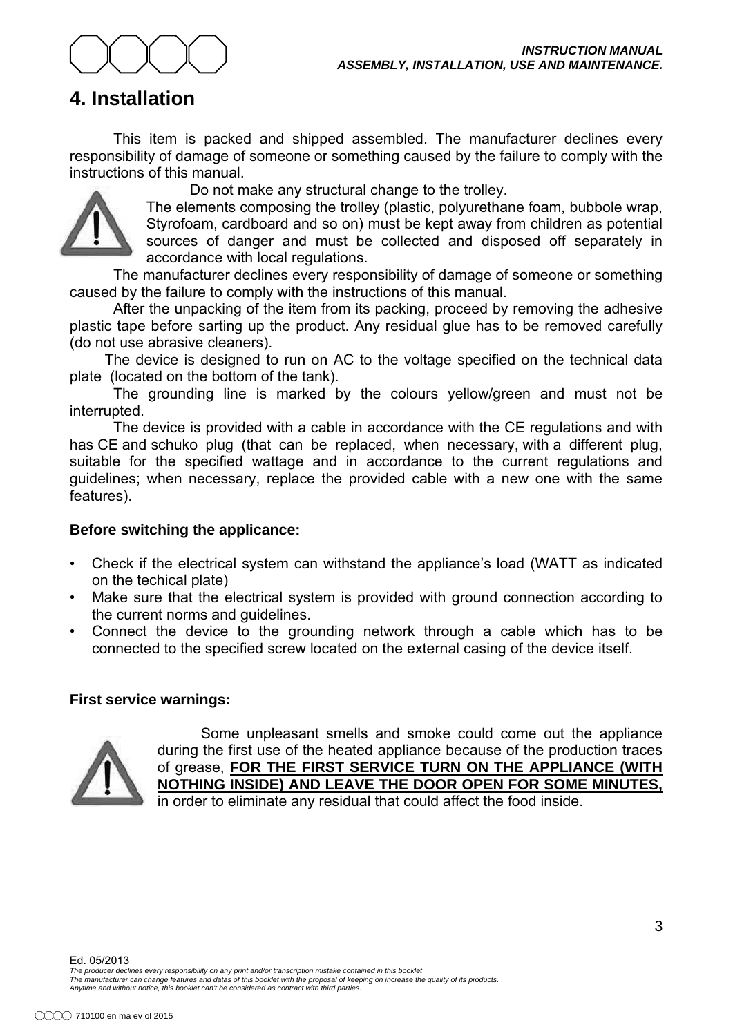

# **4. Installation**

This item is packed and shipped assembled. The manufacturer declines every responsibility of damage of someone or something caused by the failure to comply with the instructions of this manual.

Do not make any structural change to the trolley.

The elements composing the trolley (plastic, polyurethane foam, bubbole wrap, Styrofoam, cardboard and so on) must be kept away from children as potential sources of danger and must be collected and disposed off separately in accordance with local regulations.

The manufacturer declines every responsibility of damage of someone or something caused by the failure to comply with the instructions of this manual.

After the unpacking of the item from its packing, proceed by removing the adhesive plastic tape before sarting up the product. Any residual glue has to be removed carefully (do not use abrasive cleaners).

The device is designed to run on AC to the voltage specified on the technical data plate (located on the bottom of the tank).

The grounding line is marked by the colours yellow/green and must not be interrupted.

The device is provided with a cable in accordance with the CE regulations and with has CE and schuko plug (that can be replaced, when necessary, with a different plug, suitable for the specified wattage and in accordance to the current regulations and quidelines: when necessary, replace the provided cable with a new one with the same features).

#### **Before switching the applicance:**

- Check if the electrical system can withstand the appliance's load (WATT as indicated on the techical plate)
- Make sure that the electrical system is provided with ground connection according to the current norms and quidelines.
- Connect the device to the grounding network through a cable which has to be connected to the specified screw located on the external casing of the device itself.

#### **First service warnings:**



Some unpleasant smells and smoke could come out the appliance during the first use of the heated appliance because of the production traces of grease, FOR THE FIRST SERVICE TURN ON THE APPLIANCE (WITH **NOTHING INSIDE) AND LEAVE THE DOOR OPEN FOR SOME MINUTES,** in order to eliminate any residual that could affect the food inside.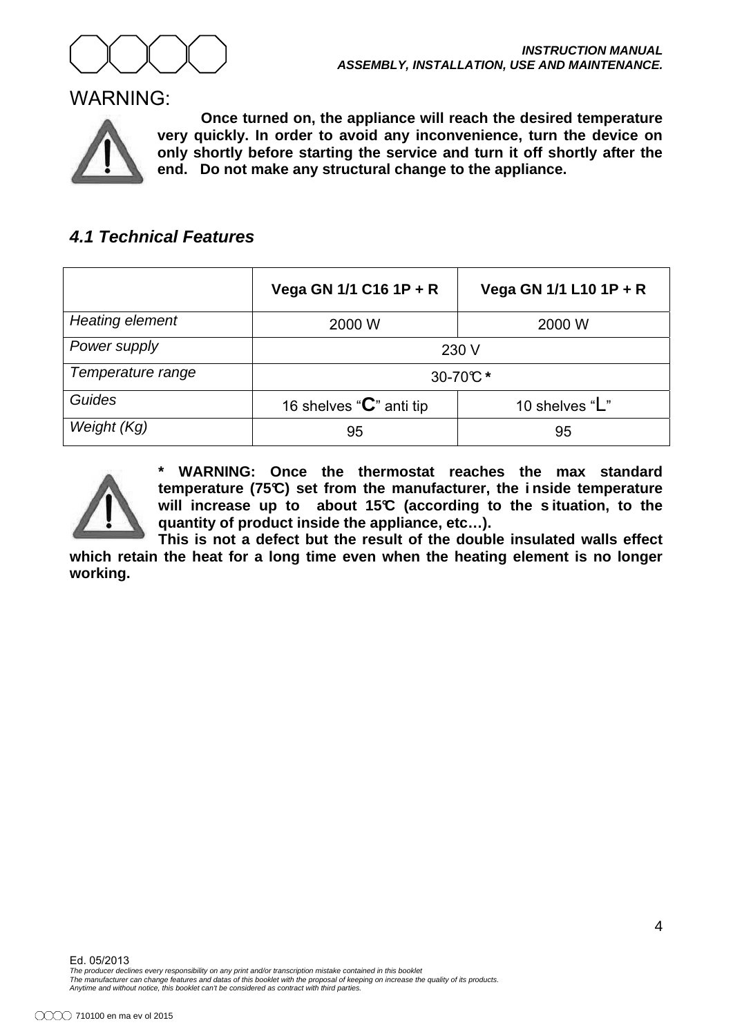

#### WARNING:



**Once turned on, the appliance will reach the desired temperature very quickly. In order to avoid any inconvenience, turn the device on only shortly before starting the service and turn it off shortly after the end. Do not make any structural change to the appliance.** 

## *4.1 Technical Features*

|                        | Vega GN 1/1 C16 1P + R               | Vega GN 1/1 L10 1P + R |
|------------------------|--------------------------------------|------------------------|
| <b>Heating element</b> | 2000 W                               | 2000 W                 |
| Power supply           | 230 V                                |                        |
| Temperature range      | 30-70℃*                              |                        |
| Guides                 | 16 shelves " $\mathbf{C}$ " anti tip | 10 shelves "L"         |
| Weight (Kg)            | 95                                   | 95                     |



WARNING: Once the thermostat reaches the max standard **temperature (75°C) set from the manufacturer, the i nside temperature**  will increase up to about 15°C (according to the situation, to the **quantity of product inside the appliance, etc…).** 

**This is not a defect but the result of the double insulated walls effect which retain the heat for a long time even when the heating element is no longer working.**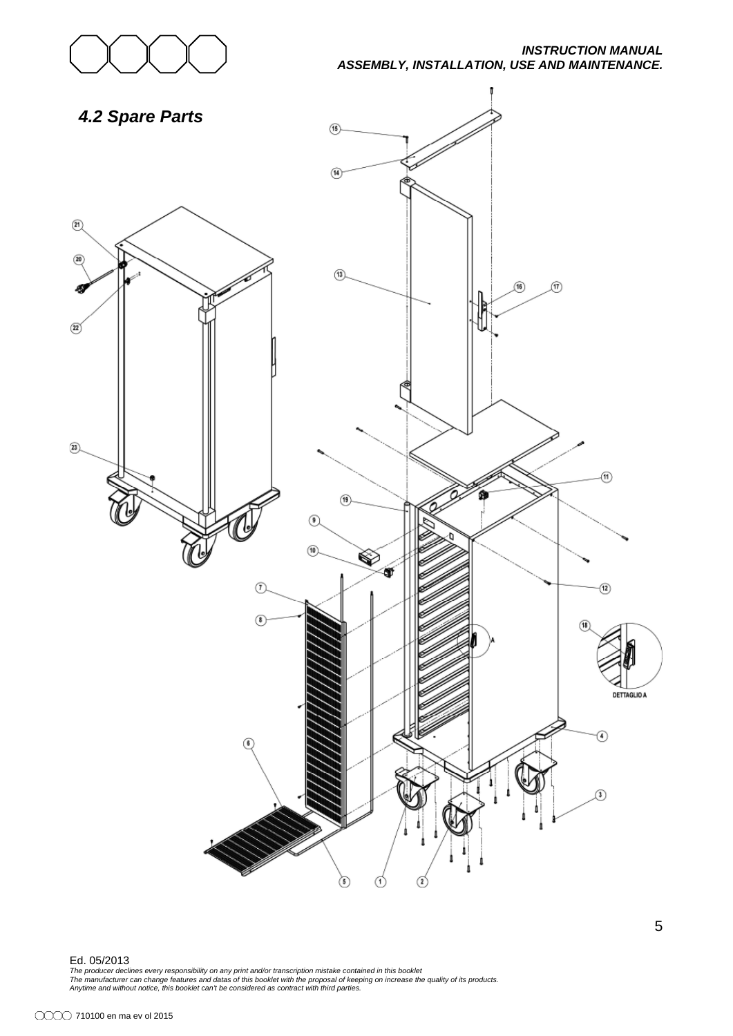

#### *INSTRUCTION MANUAL ASSEMBLY, INSTALLATION, USE AND MAINTENANCE.*



#### Ed. 05/2013

The producer declines every responsibility on any print and/or transcription mistake contained in this booklet<br>The manufacturer can change features and datas of this booklet with the proposal of keeping on increase the qua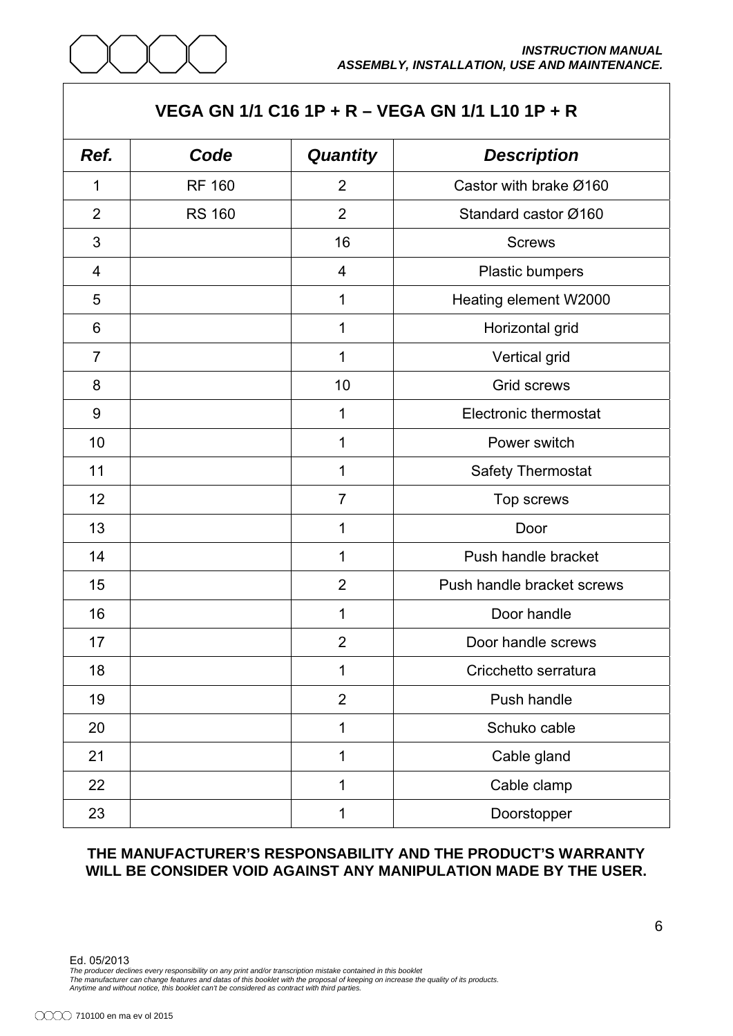

#### **VEGA GN 1/1 C16 1P + R – VEGA GN 1/1 L10 1P + R**

| Ref.           | Code          | <b>Quantity</b> | <b>Description</b>           |
|----------------|---------------|-----------------|------------------------------|
| 1              | <b>RF 160</b> | $\overline{2}$  | Castor with brake Ø160       |
| $\overline{2}$ | <b>RS 160</b> | $\overline{2}$  | Standard castor Ø160         |
| 3              |               | 16              | <b>Screws</b>                |
| 4              |               | 4               | Plastic bumpers              |
| 5              |               | 1               | Heating element W2000        |
| 6              |               | 1               | Horizontal grid              |
| $\overline{7}$ |               | 1               | Vertical grid                |
| 8              |               | 10              | Grid screws                  |
| $9\,$          |               | 1               | <b>Electronic thermostat</b> |
| 10             |               | 1               | Power switch                 |
| 11             |               | 1               | Safety Thermostat            |
| 12             |               | $\overline{7}$  | Top screws                   |
| 13             |               | 1               | Door                         |
| 14             |               | 1               | Push handle bracket          |
| 15             |               | $\overline{2}$  | Push handle bracket screws   |
| 16             |               | 1               | Door handle                  |
| 17             |               | $\overline{2}$  | Door handle screws           |
| 18             |               | 1               | Cricchetto serratura         |
| 19             |               | $\overline{2}$  | Push handle                  |
| 20             |               | 1               | Schuko cable                 |
| 21             |               | 1               | Cable gland                  |
| 22             |               | 1               | Cable clamp                  |
| 23             |               | 1               | Doorstopper                  |

#### **THE MANUFACTURER'S RESPONSABILITY AND THE PRODUCT'S WARRANTY WILL BE CONSIDER VOID AGAINST ANY MANIPULATION MADE BY THE USER.**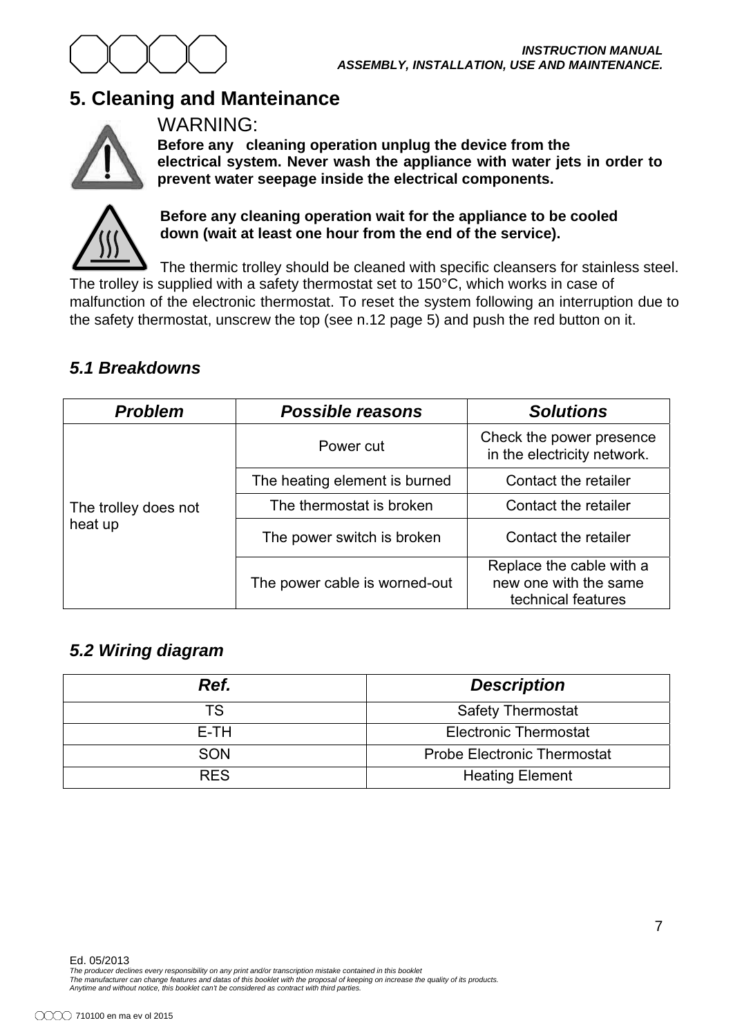

# **5. Cleaning and Manteinance**



WARNING:

**Before any cleaning operation unplug the device from the electrical system. Never wash the appliance with water jets in order to prevent water seepage inside the electrical components.** 



#### **Before any cleaning operation wait for the appliance to be cooled down (wait at least one hour from the end of the service).**

The thermic trolley should be cleaned with specific cleansers for stainless steel. The trolley is supplied with a safety thermostat set to 150°C, which works in case of malfunction of the electronic thermostat. To reset the system following an interruption due to the safety thermostat, unscrew the top (see n.12 page 5) and push the red button on it.

## *5.1 Breakdowns*

| <b>Problem</b><br><b>Possible reasons</b> |                               | <b>Solutions</b>                                                        |
|-------------------------------------------|-------------------------------|-------------------------------------------------------------------------|
| The trolley does not<br>heat up           | Power cut                     | Check the power presence<br>in the electricity network.                 |
|                                           | The heating element is burned | Contact the retailer                                                    |
|                                           | The thermostat is broken      | Contact the retailer                                                    |
|                                           | The power switch is broken    | Contact the retailer                                                    |
|                                           | The power cable is worned-out | Replace the cable with a<br>new one with the same<br>technical features |

## *5.2 Wiring diagram*

| Ref.       | <b>Description</b>                 |
|------------|------------------------------------|
| TS         | <b>Safety Thermostat</b>           |
| E-TH       | <b>Electronic Thermostat</b>       |
| <b>SON</b> | <b>Probe Electronic Thermostat</b> |
| <b>RES</b> | <b>Heating Element</b>             |